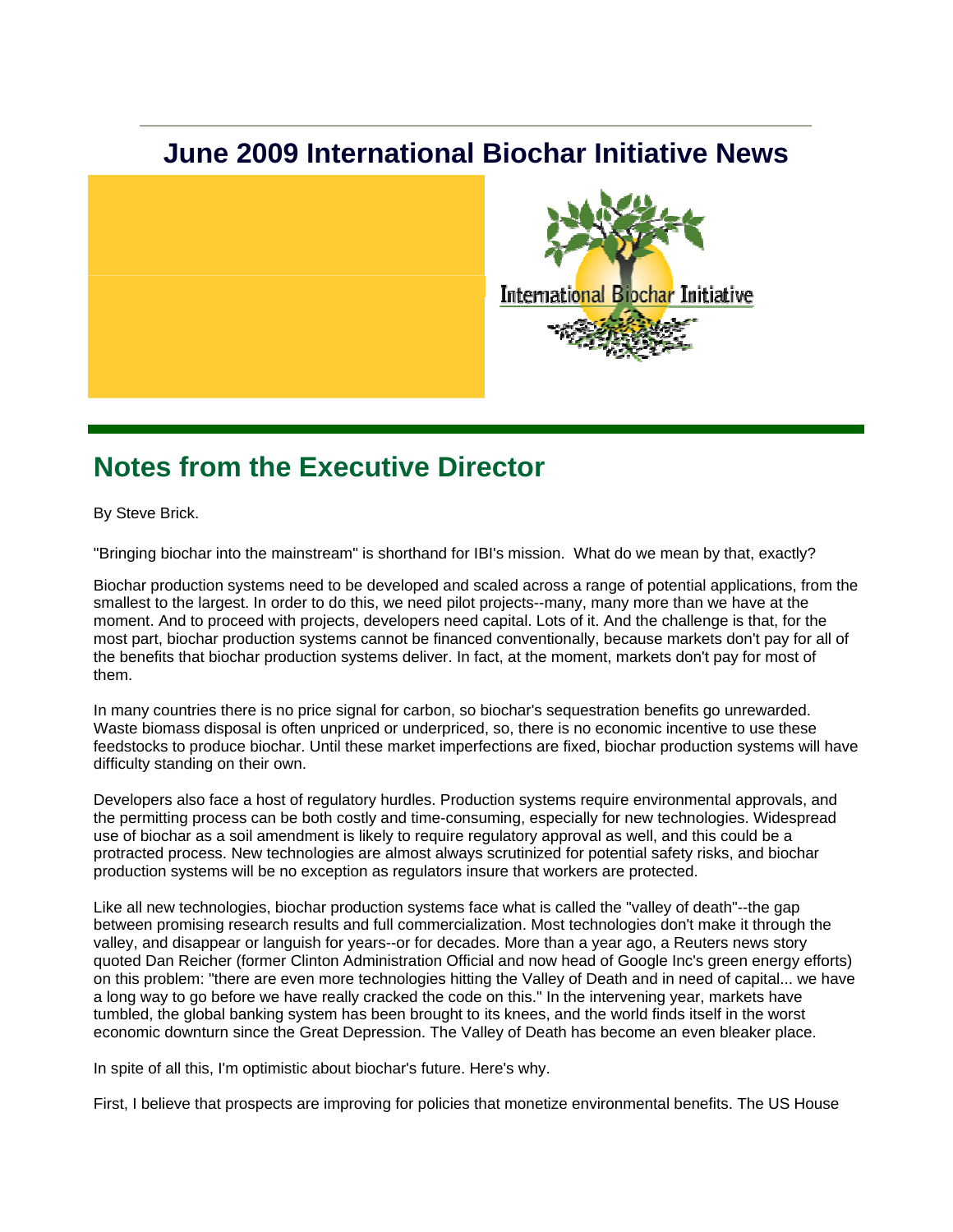## **June 2009 International Biochar Initiative News**



### **Notes from the Executive Director**

By Steve Brick.

"Bringing biochar into the mainstream" is shorthand for IBI's mission. What do we mean by that, exactly?

Biochar production systems need to be developed and scaled across a range of potential applications, from the smallest to the largest. In order to do this, we need pilot projects--many, many more than we have at the moment. And to proceed with projects, developers need capital. Lots of it. And the challenge is that, for the most part, biochar production systems cannot be financed conventionally, because markets don't pay for all of the benefits that biochar production systems deliver. In fact, at the moment, markets don't pay for most of them.

In many countries there is no price signal for carbon, so biochar's sequestration benefits go unrewarded. Waste biomass disposal is often unpriced or underpriced, so, there is no economic incentive to use these feedstocks to produce biochar. Until these market imperfections are fixed, biochar production systems will have difficulty standing on their own.

Developers also face a host of regulatory hurdles. Production systems require environmental approvals, and the permitting process can be both costly and time-consuming, especially for new technologies. Widespread use of biochar as a soil amendment is likely to require regulatory approval as well, and this could be a protracted process. New technologies are almost always scrutinized for potential safety risks, and biochar production systems will be no exception as regulators insure that workers are protected.

Like all new technologies, biochar production systems face what is called the "valley of death"--the gap between promising research results and full commercialization. Most technologies don't make it through the valley, and disappear or languish for years--or for decades. More than a year ago, a Reuters news story quoted Dan Reicher (former Clinton Administration Official and now head of Google Inc's green energy efforts) on this problem: "there are even more technologies hitting the Valley of Death and in need of capital... we have a long way to go before we have really cracked the code on this." In the intervening year, markets have tumbled, the global banking system has been brought to its knees, and the world finds itself in the worst economic downturn since the Great Depression. The Valley of Death has become an even bleaker place.

In spite of all this, I'm optimistic about biochar's future. Here's why.

First, I believe that prospects are improving for policies that monetize environmental benefits. The US House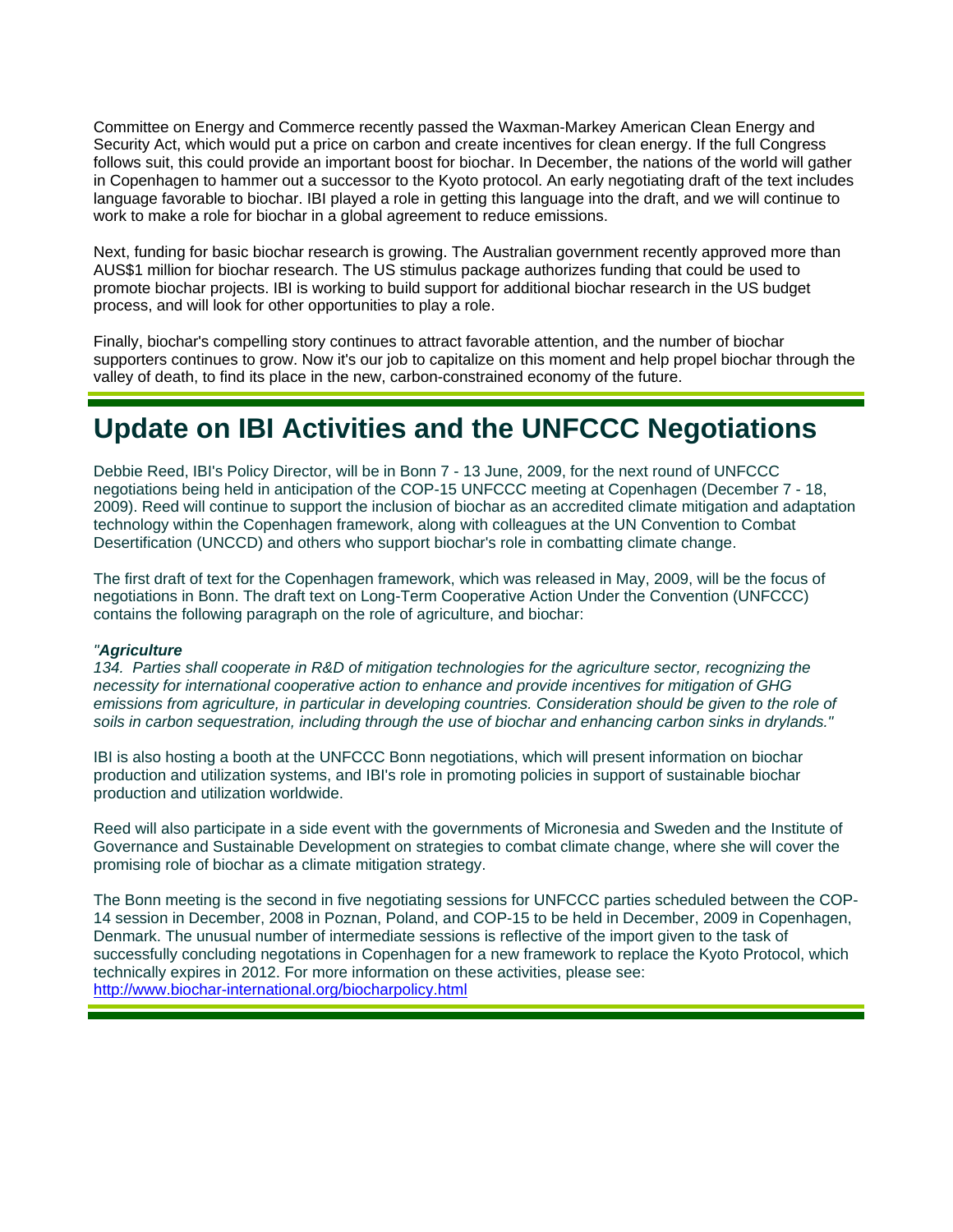Committee on Energy and Commerce recently passed the Waxman-Markey American Clean Energy and Security Act, which would put a price on carbon and create incentives for clean energy. If the full Congress follows suit, this could provide an important boost for biochar. In December, the nations of the world will gather in Copenhagen to hammer out a successor to the Kyoto protocol. An early negotiating draft of the text includes language favorable to biochar. IBI played a role in getting this language into the draft, and we will continue to work to make a role for biochar in a global agreement to reduce emissions.

Next, funding for basic biochar research is growing. The Australian government recently approved more than AUS\$1 million for biochar research. The US stimulus package authorizes funding that could be used to promote biochar projects. IBI is working to build support for additional biochar research in the US budget process, and will look for other opportunities to play a role.

Finally, biochar's compelling story continues to attract favorable attention, and the number of biochar supporters continues to grow. Now it's our job to capitalize on this moment and help propel biochar through the valley of death, to find its place in the new, carbon-constrained economy of the future.

### **Update on IBI Activities and the UNFCCC Negotiations**

Debbie Reed, IBI's Policy Director, will be in Bonn 7 - 13 June, 2009, for the next round of UNFCCC negotiations being held in anticipation of the COP-15 UNFCCC meeting at Copenhagen (December 7 - 18, 2009). Reed will continue to support the inclusion of biochar as an accredited climate mitigation and adaptation technology within the Copenhagen framework, along with colleagues at the UN Convention to Combat Desertification (UNCCD) and others who support biochar's role in combatting climate change.

The first draft of text for the Copenhagen framework, which was released in May, 2009, will be the focus of negotiations in Bonn. The draft text on Long-Term Cooperative Action Under the Convention (UNFCCC) contains the following paragraph on the role of agriculture, and biochar:

#### *"Agriculture*

*134. Parties shall cooperate in R&D of mitigation technologies for the agriculture sector, recognizing the necessity for international cooperative action to enhance and provide incentives for mitigation of GHG emissions from agriculture, in particular in developing countries. Consideration should be given to the role of soils in carbon sequestration, including through the use of biochar and enhancing carbon sinks in drylands."*

IBI is also hosting a booth at the UNFCCC Bonn negotiations, which will present information on biochar production and utilization systems, and IBI's role in promoting policies in support of sustainable biochar production and utilization worldwide.

Reed will also participate in a side event with the governments of Micronesia and Sweden and the Institute of Governance and Sustainable Development on strategies to combat climate change, where she will cover the promising role of biochar as a climate mitigation strategy.

The Bonn meeting is the second in five negotiating sessions for UNFCCC parties scheduled between the COP-14 session in December, 2008 in Poznan, Poland, and COP-15 to be held in December, 2009 in Copenhagen, Denmark. The unusual number of intermediate sessions is reflective of the import given to the task of successfully concluding negotations in Copenhagen for a new framework to replace the Kyoto Protocol, which technically expires in 2012. For more information on these activities, please see: http://www.biochar-international.org/biocharpolicy.html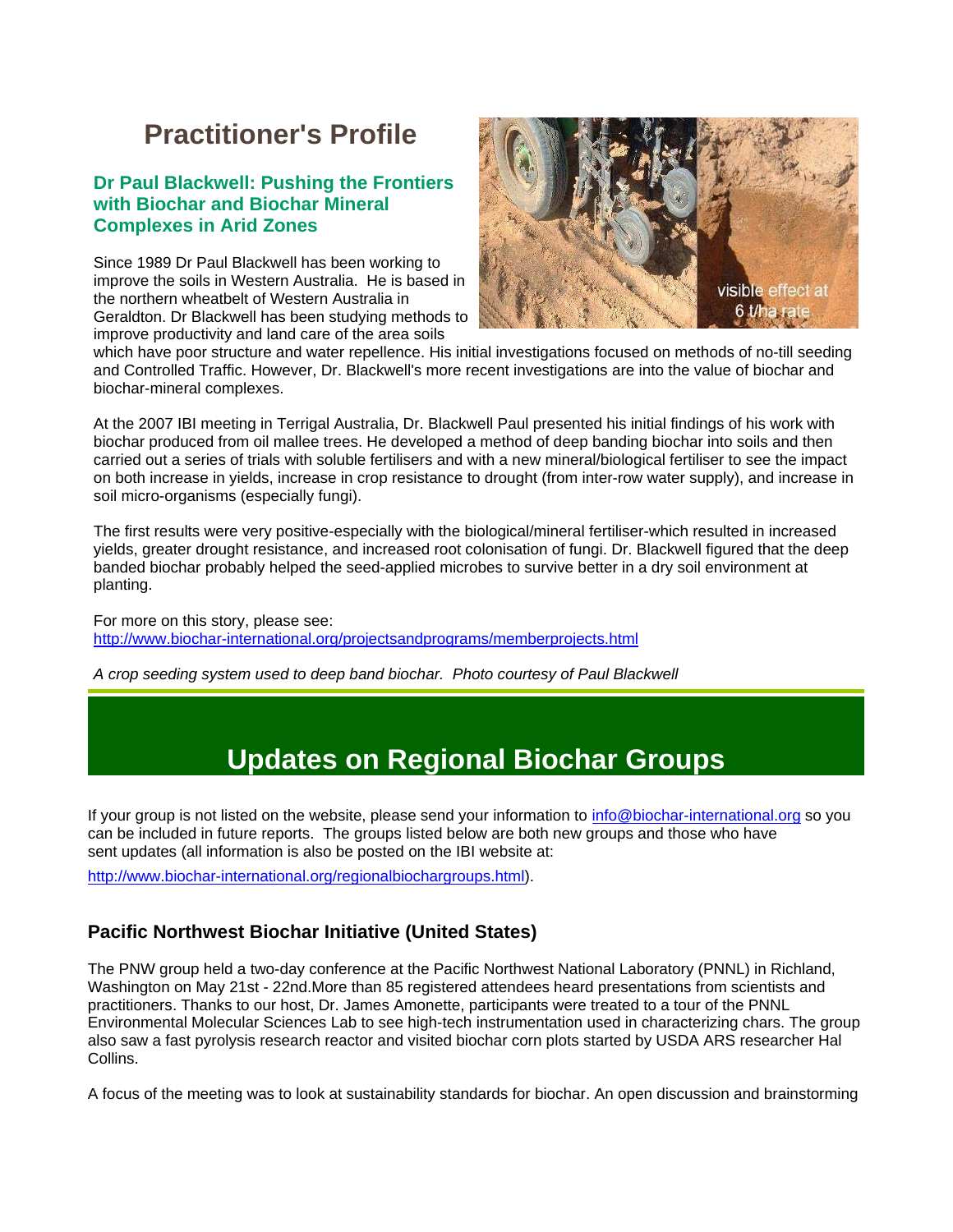# **Practitioner's Profile**

#### **Dr Paul Blackwell: Pushing the Frontiers with Biochar and Biochar Mineral Complexes in Arid Zones**

Since 1989 Dr Paul Blackwell has been working to improve the soils in Western Australia. He is based in the northern wheatbelt of Western Australia in Geraldton. Dr Blackwell has been studying methods to improve productivity and land care of the area soils



which have poor structure and water repellence. His initial investigations focused on methods of no-till seeding and Controlled Traffic. However, Dr. Blackwell's more recent investigations are into the value of biochar and biochar-mineral complexes.

At the 2007 IBI meeting in Terrigal Australia, Dr. Blackwell Paul presented his initial findings of his work with biochar produced from oil mallee trees. He developed a method of deep banding biochar into soils and then carried out a series of trials with soluble fertilisers and with a new mineral/biological fertiliser to see the impact on both increase in yields, increase in crop resistance to drought (from inter-row water supply), and increase in soil micro-organisms (especially fungi).

The first results were very positive-especially with the biological/mineral fertiliser-which resulted in increased yields, greater drought resistance, and increased root colonisation of fungi. Dr. Blackwell figured that the deep banded biochar probably helped the seed-applied microbes to survive better in a dry soil environment at planting.

For more on this story, please see: http://www.biochar-international.org/projectsandprograms/memberprojects.html

*A crop seeding system used to deep band biochar. Photo courtesy of Paul Blackwell*

### **Updates on Regional Biochar Groups**

If your group is not listed on the website, please send your information to info@biochar-international.org so you can be included in future reports. The groups listed below are both new groups and those who have sent updates (all information is also be posted on the IBI website at:

http://www.biochar-international.org/regionalbiochargroups.html).

#### **Pacific Northwest Biochar Initiative (United States)**

The PNW group held a two-day conference at the Pacific Northwest National Laboratory (PNNL) in Richland, Washington on May 21st - 22nd.More than 85 registered attendees heard presentations from scientists and practitioners. Thanks to our host, Dr. James Amonette, participants were treated to a tour of the PNNL Environmental Molecular Sciences Lab to see high-tech instrumentation used in characterizing chars. The group also saw a fast pyrolysis research reactor and visited biochar corn plots started by USDA ARS researcher Hal Collins.

A focus of the meeting was to look at sustainability standards for biochar. An open discussion and brainstorming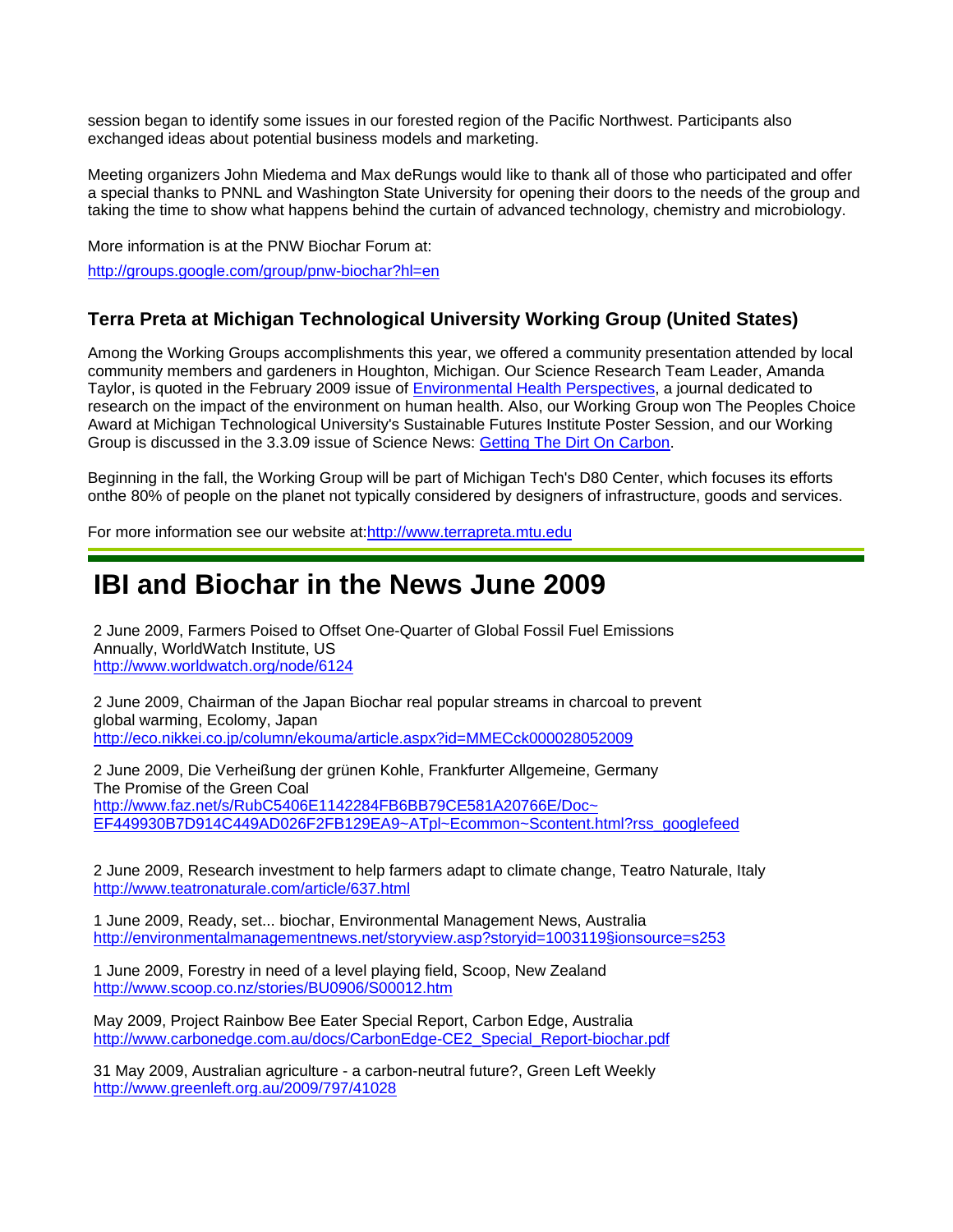session began to identify some issues in our forested region of the Pacific Northwest. Participants also exchanged ideas about potential business models and marketing.

Meeting organizers John Miedema and Max deRungs would like to thank all of those who participated and offer a special thanks to PNNL and Washington State University for opening their doors to the needs of the group and taking the time to show what happens behind the curtain of advanced technology, chemistry and microbiology.

More information is at the PNW Biochar Forum at: http://groups.google.com/group/pnw-biochar?hl=en

### **Terra Preta at Michigan Technological University Working Group (United States)**

Among the Working Groups accomplishments this year, we offered a community presentation attended by local community members and gardeners in Houghton, Michigan. Our Science Research Team Leader, Amanda Taylor, is quoted in the February 2009 issue of Environmental Health Perspectives, a journal dedicated to research on the impact of the environment on human health. Also, our Working Group won The Peoples Choice Award at Michigan Technological University's Sustainable Futures Institute Poster Session, and our Working Group is discussed in the 3.3.09 issue of Science News: Getting The Dirt On Carbon.

Beginning in the fall, the Working Group will be part of Michigan Tech's D80 Center, which focuses its efforts onthe 80% of people on the planet not typically considered by designers of infrastructure, goods and services.

For more information see our website at:http://www.terrapreta.mtu.edu.

### **IBI and Biochar in the News June 2009**

2 June 2009, Farmers Poised to Offset One-Quarter of Global Fossil Fuel Emissions Annually, WorldWatch Institute, US http://www.worldwatch.org/node/6124

2 June 2009, Chairman of the Japan Biochar real popular streams in charcoal to prevent global warming, Ecolomy, Japan http://eco.nikkei.co.jp/column/ekouma/article.aspx?id=MMECck000028052009

2 June 2009, Die Verheißung der grünen Kohle, Frankfurter Allgemeine, Germany The Promise of the Green Coal http://www.faz.net/s/RubC5406E1142284FB6BB79CE581A20766E/Doc~ EF449930B7D914C449AD026F2FB129EA9~ATpl~Ecommon~Scontent.html?rss\_googlefeed

2 June 2009, Research investment to help farmers adapt to climate change, Teatro Naturale, Italy http://www.teatronaturale.com/article/637.html

1 June 2009, Ready, set... biochar, Environmental Management News, Australia http://environmentalmanagementnews.net/storyview.asp?storyid=1003119§ionsource=s253

1 June 2009, Forestry in need of a level playing field, Scoop, New Zealand http://www.scoop.co.nz/stories/BU0906/S00012.htm

May 2009, Project Rainbow Bee Eater Special Report, Carbon Edge, Australia http://www.carbonedge.com.au/docs/CarbonEdge-CE2\_Special\_Report-biochar.pdf

31 May 2009, Australian agriculture - a carbon-neutral future?, Green Left Weekly http://www.greenleft.org.au/2009/797/41028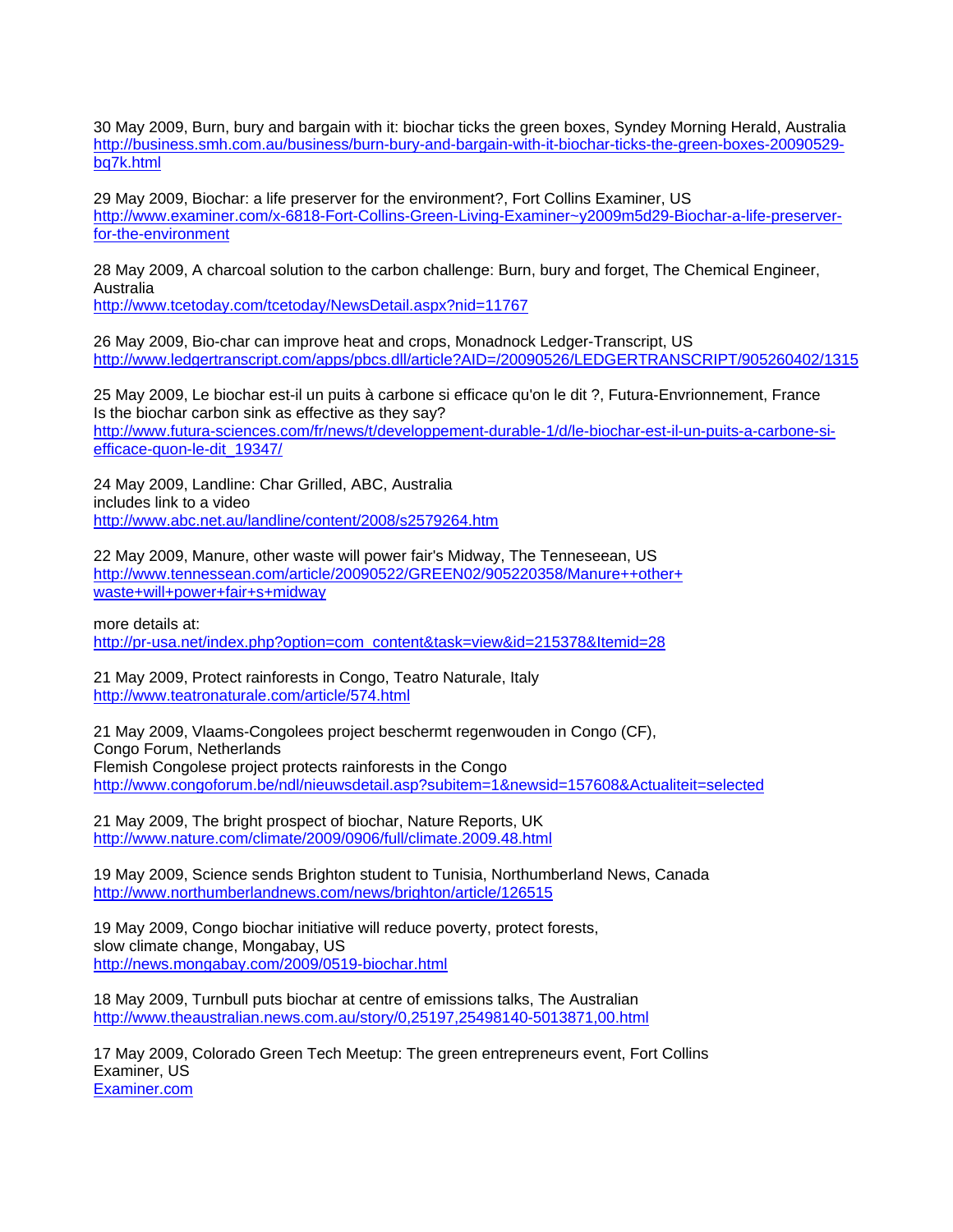30 May 2009, Burn, bury and bargain with it: biochar ticks the green boxes, Syndey Morning Herald, Australia http://business.smh.com.au/business/burn-bury-and-bargain-with-it-biochar-ticks-the-green-boxes-20090529 bq7k.html

29 May 2009, Biochar: a life preserver for the environment?, Fort Collins Examiner, US http://www.examiner.com/x-6818-Fort-Collins-Green-Living-Examiner~y2009m5d29-Biochar-a-life-preserverfor-the-environment

28 May 2009, A charcoal solution to the carbon challenge: Burn, bury and forget, The Chemical Engineer, Australia

http://www.tcetoday.com/tcetoday/NewsDetail.aspx?nid=11767

26 May 2009, Bio-char can improve heat and crops, Monadnock Ledger-Transcript, US http://www.ledgertranscript.com/apps/pbcs.dll/article?AID=/20090526/LEDGERTRANSCRIPT/905260402/1315

25 May 2009, Le biochar est-il un puits à carbone si efficace qu'on le dit ?, Futura-Envrionnement, France Is the biochar carbon sink as effective as they say? http://www.futura-sciences.com/fr/news/t/developpement-durable-1/d/le-biochar-est-il-un-puits-a-carbone-siefficace-quon-le-dit\_19347/

24 May 2009, Landline: Char Grilled, ABC, Australia includes link to a video http://www.abc.net.au/landline/content/2008/s2579264.htm

22 May 2009, Manure, other waste will power fair's Midway, The Tenneseean, US http://www.tennessean.com/article/20090522/GREEN02/905220358/Manure++other+ waste+will+power+fair+s+midway

more details at: http://pr-usa.net/index.php?option=com\_content&task=view&id=215378&Itemid=28

21 May 2009, Protect rainforests in Congo, Teatro Naturale, Italy http://www.teatronaturale.com/article/574.html

21 May 2009, Vlaams-Congolees project beschermt regenwouden in Congo (CF), Congo Forum, Netherlands Flemish Congolese project protects rainforests in the Congo http://www.congoforum.be/ndl/nieuwsdetail.asp?subitem=1&newsid=157608&Actualiteit=selected

21 May 2009, The bright prospect of biochar, Nature Reports, UK http://www.nature.com/climate/2009/0906/full/climate.2009.48.html

19 May 2009, Science sends Brighton student to Tunisia, Northumberland News, Canada http://www.northumberlandnews.com/news/brighton/article/126515

19 May 2009, Congo biochar initiative will reduce poverty, protect forests, slow climate change, Mongabay, US http://news.mongabay.com/2009/0519-biochar.html

18 May 2009, Turnbull puts biochar at centre of emissions talks, The Australian http://www.theaustralian.news.com.au/story/0,25197,25498140-5013871,00.html

17 May 2009, Colorado Green Tech Meetup: The green entrepreneurs event, Fort Collins Examiner, US Examiner.com